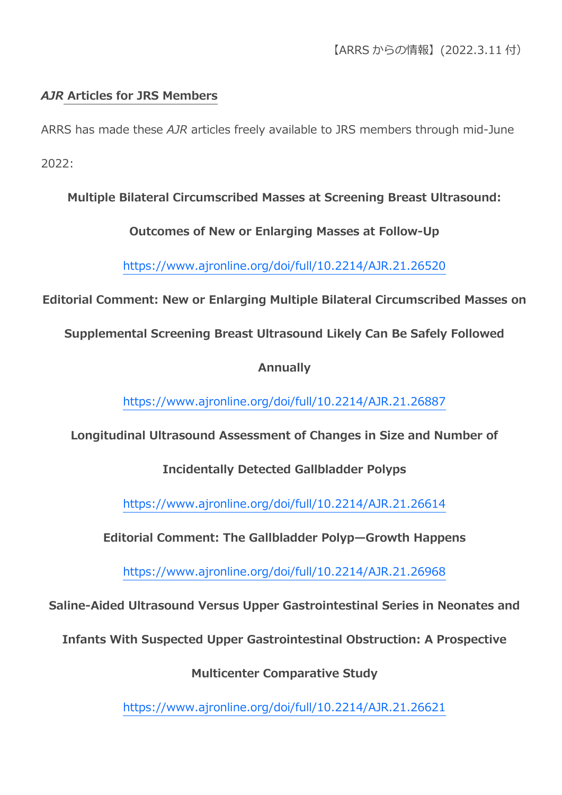## *AJR* **Articles for JRS Members**

ARRS has made these *AJR* articles freely available to JRS members through mid-June

2022:

## **Multiple Bilateral Circumscribed Masses at Screening Breast Ultrasound:**

### **Outcomes of New or Enlarging Masses at Follow-Up**

<https://www.ajronline.org/doi/full/10.2214/AJR.21.26520>

**Editorial Comment: New or Enlarging Multiple Bilateral Circumscribed Masses on** 

**Supplemental Screening Breast Ultrasound Likely Can Be Safely Followed** 

### **Annually**

<https://www.ajronline.org/doi/full/10.2214/AJR.21.26887>

**Longitudinal Ultrasound Assessment of Changes in Size and Number of** 

## **Incidentally Detected Gallbladder Polyps**

<https://www.ajronline.org/doi/full/10.2214/AJR.21.26614>

**Editorial Comment: The Gallbladder Polyp—Growth Happens**

<https://www.ajronline.org/doi/full/10.2214/AJR.21.26968>

**Saline-Aided Ultrasound Versus Upper Gastrointestinal Series in Neonates and** 

**Infants With Suspected Upper Gastrointestinal Obstruction: A Prospective** 

**Multicenter Comparative Study**

<https://www.ajronline.org/doi/full/10.2214/AJR.21.26621>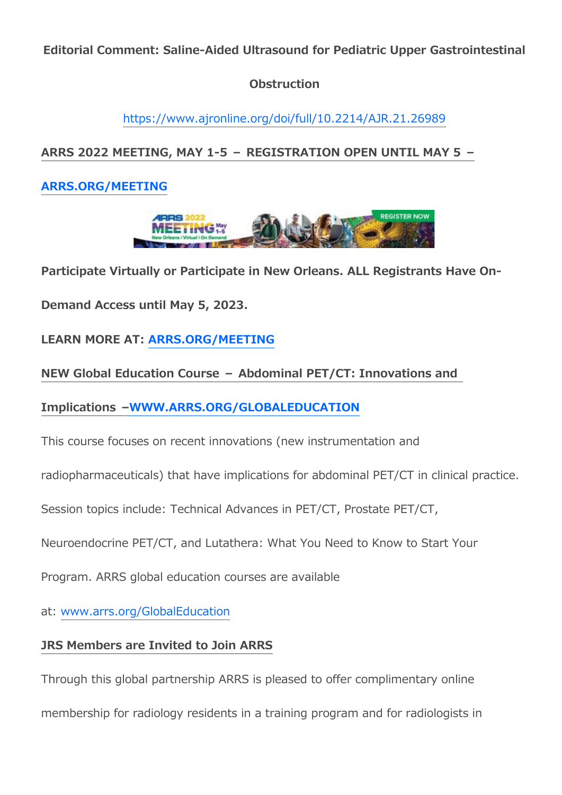**Editorial Comment: Saline-Aided Ultrasound for Pediatric Upper Gastrointestinal** 

### **Obstruction**

<https://www.ajronline.org/doi/full/10.2214/AJR.21.26989>

# **ARRS 2022 MEETING, MAY 1-5 – REGISTRATION OPEN UNTIL MAY 5 –**

## **[ARRS.ORG/MEETING](https://www2.arrs.org/am22/)**



### **Participate Virtually or Participate in New Orleans. ALL Registrants Have On-**

**Demand Access until May 5, 2023.**

**LEARN MORE AT: [ARRS.ORG/MEETING](https://www2.arrs.org/am22/)**

### **NEW Global Education Course – Abdominal PET/CT: Innovations and**

**Implications [–WWW.ARRS.ORG/GLOBALEDUCATION](https://www.arrs.org/GLOBALEDUCATION)**

This course focuses on recent innovations (new instrumentation and

radiopharmaceuticals) that have implications for abdominal PET/CT in clinical practice.

Session topics include: Technical Advances in PET/CT, Prostate PET/CT,

Neuroendocrine PET/CT, and Lutathera: What You Need to Know to Start Your

Program. ARRS global education courses are available

at: [www.arrs.org/GlobalEducation](https://www.arrs.org/GlobalEducation)

## **JRS Members are Invited to Join ARRS**

Through this global partnership ARRS is pleased to offer complimentary online

membership for radiology residents in a training program and for radiologists in